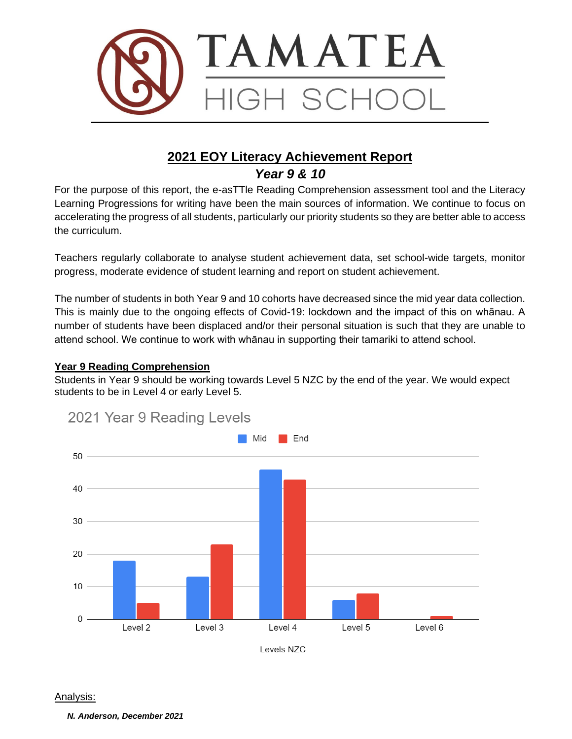

# **2021 EOY Literacy Achievement Report** *Year 9 & 10*

For the purpose of this report, the e-asTTle Reading Comprehension assessment tool and the Literacy Learning Progressions for writing have been the main sources of information. We continue to focus on accelerating the progress of all students, particularly our priority students so they are better able to access the curriculum.

Teachers regularly collaborate to analyse student achievement data, set school-wide targets, monitor progress, moderate evidence of student learning and report on student achievement.

The number of students in both Year 9 and 10 cohorts have decreased since the mid year data collection. This is mainly due to the ongoing effects of Covid-19: lockdown and the impact of this on whānau. A number of students have been displaced and/or their personal situation is such that they are unable to attend school. We continue to work with whānau in supporting their tamariki to attend school.

#### **Year 9 Reading Comprehension**

Students in Year 9 should be working towards Level 5 NZC by the end of the year. We would expect students to be in Level 4 or early Level 5.



# 2021 Year 9 Reading Levels

Levels NZC

#### Analysis:

*N. Anderson, December 2021*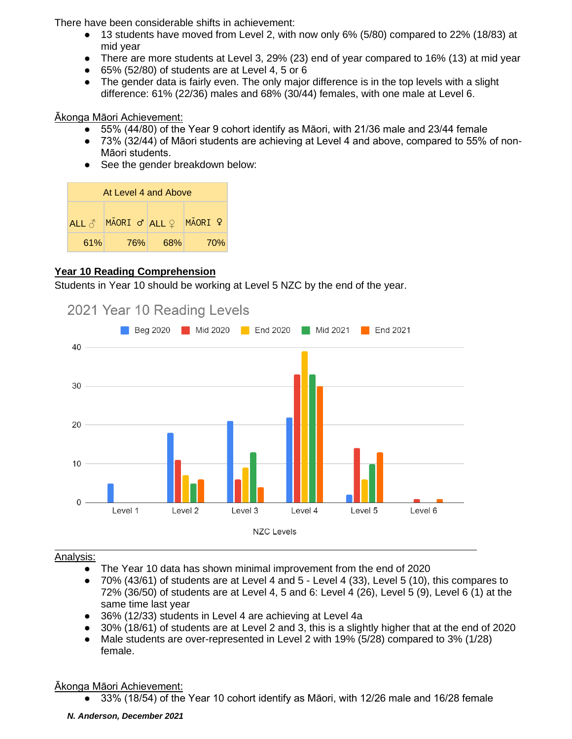There have been considerable shifts in achievement:

- 13 students have moved from Level 2, with now only 6% (5/80) compared to 22% (18/83) at mid year
- There are more students at Level 3, 29% (23) end of year compared to 16% (13) at mid year
- $\bullet$  65% (52/80) of students are at Level 4, 5 or 6
- The gender data is fairly even. The only major difference is in the top levels with a slight difference: 61% (22/36) males and 68% (30/44) females, with one male at Level 6.

Ākonga Māori Achievement:

- 55% (44/80) of the Year 9 cohort identify as Māori, with 21/36 male and 23/44 female
- 73% (32/44) of Māori students are achieving at Level 4 and above, compared to 55% of non-Māori students.
- See the gender breakdown below:

| At Level 4 and Above |                               |     |         |  |
|----------------------|-------------------------------|-----|---------|--|
| ALL $\delta$         | $M\bar{A}$ ORI ơ ALL $\Omega$ |     | MĀORI º |  |
| 61%                  | <b>76%</b>                    | 68% | 70%     |  |

### **Year 10 Reading Comprehension**

Students in Year 10 should be working at Level 5 NZC by the end of the year.



## 2021 Year 10 Reading Levels

### Analysis:

- The Year 10 data has shown minimal improvement from the end of 2020
- 70% (43/61) of students are at Level 4 and 5 Level 4 (33), Level 5 (10), this compares to 72% (36/50) of students are at Level 4, 5 and 6: Level 4 (26), Level 5 (9), Level 6 (1) at the same time last year
- 36% (12/33) students in Level 4 are achieving at Level 4a
- 30% (18/61) of students are at Level 2 and 3, this is a slightly higher that at the end of 2020
- Male students are over-represented in Level 2 with 19% (5/28) compared to 3% (1/28) female.

## Ākonga Māori Achievement:

● 33% (18/54) of the Year 10 cohort identify as Māori, with 12/26 male and 16/28 female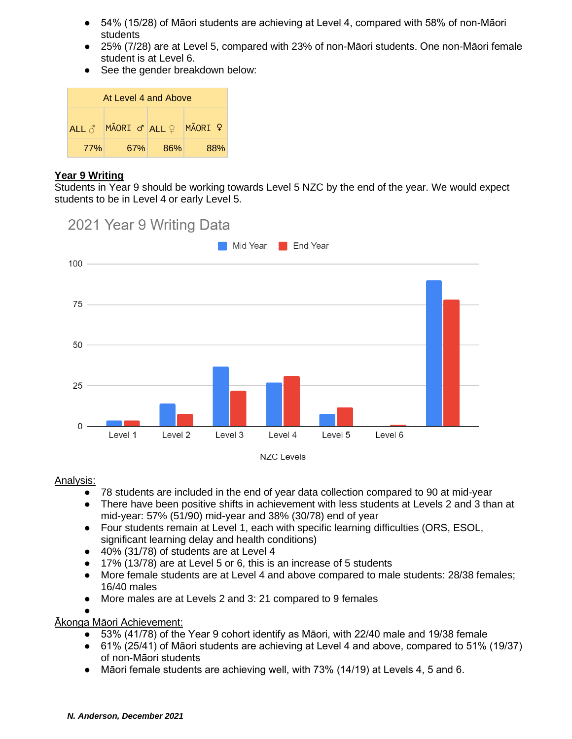- 54% (15/28) of Māori students are achieving at Level 4, compared with 58% of non-Māori students
- 25% (7/28) are at Level 5, compared with 23% of non-Māori students. One non-Māori female student is at Level 6.
- See the gender breakdown below:

| At Level 4 and Above |                                     |     |         |  |  |
|----------------------|-------------------------------------|-----|---------|--|--|
| ALL $\beta$          | $M\bar{A}ORI$ $\sigma$ ALL $\Omega$ |     | MAORI ? |  |  |
| <b>77%</b>           | 67%                                 | 86% | 88%     |  |  |

#### **Year 9 Writing**

Students in Year 9 should be working towards Level 5 NZC by the end of the year. We would expect students to be in Level 4 or early Level 5.



#### Analysis:

- 78 students are included in the end of year data collection compared to 90 at mid-year
- There have been positive shifts in achievement with less students at Levels 2 and 3 than at mid-year: 57% (51/90) mid-year and 38% (30/78) end of year
- Four students remain at Level 1, each with specific learning difficulties (ORS, ESOL, significant learning delay and health conditions)
- $\bullet$  40% (31/78) of students are at Level 4
- 17% (13/78) are at Level 5 or 6, this is an increase of 5 students
- More female students are at Level 4 and above compared to male students: 28/38 females; 16/40 males
- More males are at Levels 2 and 3: 21 compared to 9 females
- ●

Ākonga Māori Achievement:

- 53% (41/78) of the Year 9 cohort identify as Māori, with 22/40 male and 19/38 female
- 61% (25/41) of Māori students are achieving at Level 4 and above, compared to 51% (19/37) of non-Māori students
- $\bullet$  Māori female students are achieving well, with 73% (14/19) at Levels 4, 5 and 6.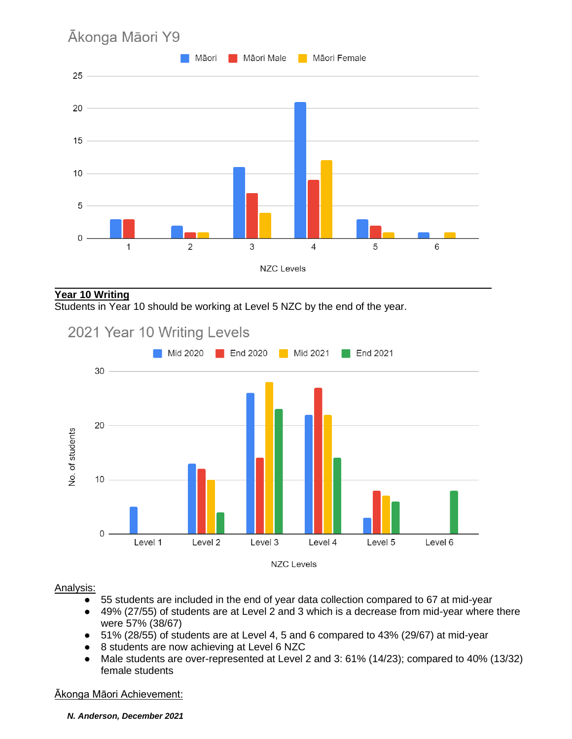

#### **Year 10 Writing**

Students in Year 10 should be working at Level 5 NZC by the end of the year.



#### Analysis:

- 55 students are included in the end of year data collection compared to 67 at mid-year
- 49% (27/55) of students are at Level 2 and 3 which is a decrease from mid-year where there were 57% (38/67)
- 51% (28/55) of students are at Level 4, 5 and 6 compared to 43% (29/67) at mid-year
- 8 students are now achieving at Level 6 NZC
- Male students are over-represented at Level 2 and 3: 61% (14/23); compared to 40% (13/32) female students

#### Ākonga Māori Achievement:

*N. Anderson, December 2021*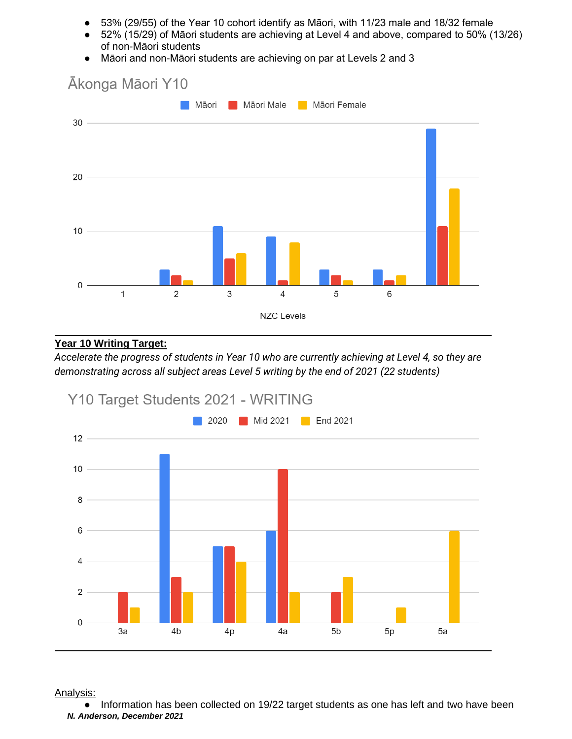- 53% (29/55) of the Year 10 cohort identify as Māori, with 11/23 male and 18/32 female
- 52% (15/29) of Māori students are achieving at Level 4 and above, compared to 50% (13/26) of non-Māori students
- Māori and non-Māori students are achieving on par at Levels 2 and 3



#### **Year 10 Writing Target:**

*Accelerate the progress of students in Year 10 who are currently achieving at Level 4, so they are demonstrating across all subject areas Level 5 writing by the end of 2021 (22 students)*



Analysis:

*N. Anderson, December 2021* ● Information has been collected on 19/22 target students as one has left and two have been